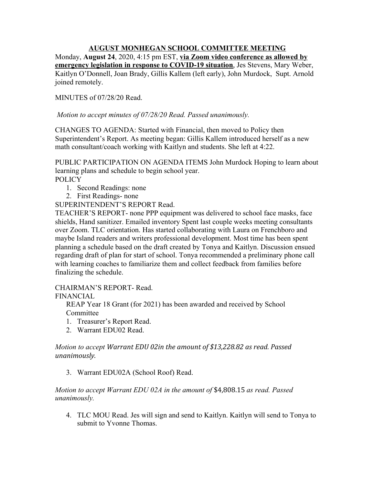## **AUGUST MONHEGAN SCHOOL COMMITTEE MEETING**

Monday, **August 24**, 2020, 4:15 pm EST, **via Zoom video conference as allowed by emergency legislation in response to COVID-19 situation**, Jes Stevens, Mary Weber, Kaitlyn O'Donnell, Joan Brady, Gillis Kallem (left early), John Murdock, Supt. Arnold joined remotely.

MINUTES of 07/28/20 Read.

*Motion to accept minutes of 07/28/20 Read. Passed unanimously.*

CHANGES TO AGENDA: Started with Financial, then moved to Policy then Superintendent's Report. As meeting began: Gillis Kallem introduced herself as a new math consultant/coach working with Kaitlyn and students. She left at 4:22.

PUBLIC PARTICIPATION ON AGENDA ITEMS John Murdock Hoping to learn about learning plans and schedule to begin school year.

**POLICY** 

- 1. Second Readings: none
- 2. First Readings- none

SUPERINTENDENT'S REPORT Read.

TEACHER'S REPORT- none PPP equipment was delivered to school face masks, face shields, Hand sanitizer. Emailed inventory Spent last couple weeks meeting consultants over Zoom. TLC orientation. Has started collaborating with Laura on Frenchboro and maybe Island readers and writers professional development. Most time has been spent planning a schedule based on the draft created by Tonya and Kaitlyn. Discussion ensued regarding draft of plan for start of school. Tonya recommended a preliminary phone call with learning coaches to familiarize them and collect feedback from families before finalizing the schedule.

CHAIRMAN'S REPORT- Read.

FINANCIAL

REAP Year 18 Grant (for 2021) has been awarded and received by School Committee

- 1. Treasurer's Report Read.
- 2. Warrant EDU02 Read.

*Motion to accept Warrant EDU 02in the amount of \$13,228.82 as read. Passed unanimously.*

3. Warrant EDU02A (School Roof) Read.

*Motion to accept Warrant EDU 02A in the amount of* \$4,808.15 *as read. Passed unanimously.*

4. TLC MOU Read. Jes will sign and send to Kaitlyn. Kaitlyn will send to Tonya to submit to Yvonne Thomas.